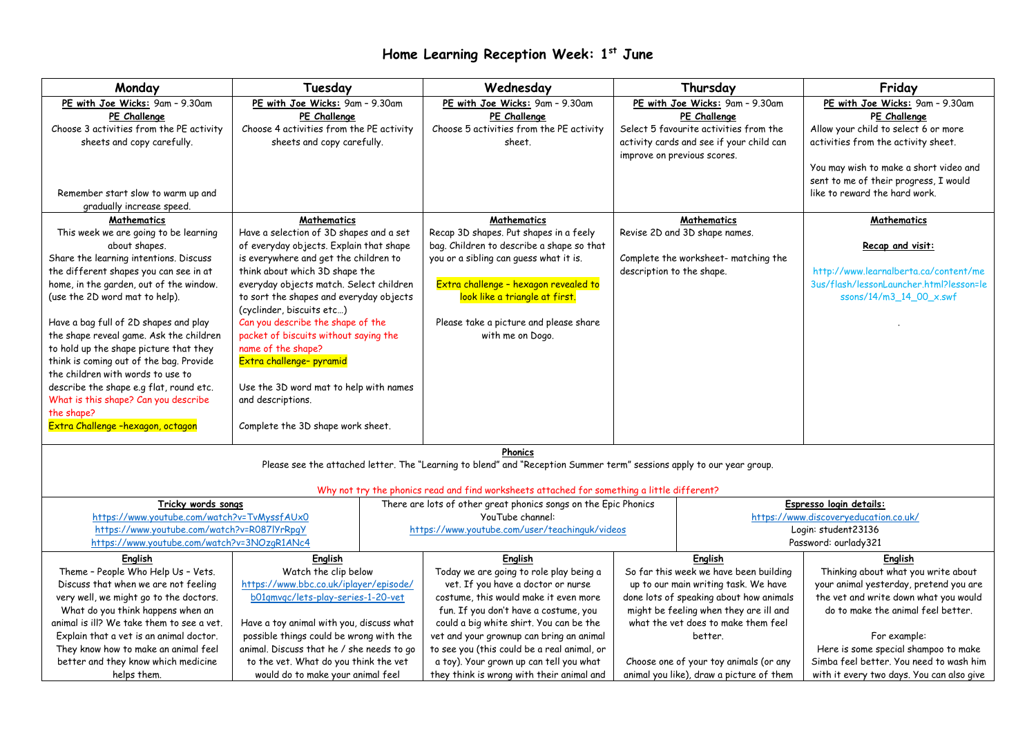## **Home Learning Reception Week: 1 st June**

| Monday                                                                                                                                                                                                                                                                                                                                                                                                                                                                                                                                                                                            | Tuesday                                                                                                                                                                                                                                                                                                                                                                                                                                                                                                                                    |                                                                                                                                       | Wednesday                                                                                                                                                                                                                                                                                    |                                                                                                                                                                                                                                  | Thursday                                                                                                                                                             | Friday                                                                                                                                                                                                                                             |
|---------------------------------------------------------------------------------------------------------------------------------------------------------------------------------------------------------------------------------------------------------------------------------------------------------------------------------------------------------------------------------------------------------------------------------------------------------------------------------------------------------------------------------------------------------------------------------------------------|--------------------------------------------------------------------------------------------------------------------------------------------------------------------------------------------------------------------------------------------------------------------------------------------------------------------------------------------------------------------------------------------------------------------------------------------------------------------------------------------------------------------------------------------|---------------------------------------------------------------------------------------------------------------------------------------|----------------------------------------------------------------------------------------------------------------------------------------------------------------------------------------------------------------------------------------------------------------------------------------------|----------------------------------------------------------------------------------------------------------------------------------------------------------------------------------------------------------------------------------|----------------------------------------------------------------------------------------------------------------------------------------------------------------------|----------------------------------------------------------------------------------------------------------------------------------------------------------------------------------------------------------------------------------------------------|
| PE with Joe Wicks: 9am - 9.30am<br>PE Challenge<br>Choose 3 activities from the PE activity<br>sheets and copy carefully.<br>Remember start slow to warm up and<br>gradually increase speed.                                                                                                                                                                                                                                                                                                                                                                                                      | PE with Joe Wicks: 9am - 9.30am<br>PE Challenge<br>Choose 4 activities from the PE activity<br>sheets and copy carefully.                                                                                                                                                                                                                                                                                                                                                                                                                  |                                                                                                                                       | PE with Joe Wicks: 9am - 9.30am<br>PE Challenge<br>Choose 5 activities from the PE activity<br>sheet.                                                                                                                                                                                        |                                                                                                                                                                                                                                  | PE with Joe Wicks: 9am - 9.30am<br>PE Challenge<br>Select 5 favourite activities from the<br>activity cards and see if your child can<br>improve on previous scores. | PE with Joe Wicks: 9am - 9.30am<br>PE Challenge<br>Allow your child to select 6 or more<br>activities from the activity sheet.<br>You may wish to make a short video and<br>sent to me of their progress, I would<br>like to reward the hard work. |
| <b>Mathematics</b><br>This week we are going to be learning<br>about shapes.<br>Share the learning intentions. Discuss<br>the different shapes you can see in at<br>home, in the garden, out of the window.<br>(use the 2D word mat to help).<br>Have a bag full of 2D shapes and play<br>the shape reveal game. Ask the children<br>to hold up the shape picture that they<br>think is coming out of the bag. Provide<br>the children with words to use to<br>describe the shape e.g flat, round etc.<br>What is this shape? Can you describe<br>the shape?<br>Extra Challenge -hexagon, octagon | <b>Mathematics</b><br>Have a selection of 3D shapes and a set<br>of everyday objects. Explain that shape<br>is everywhere and get the children to<br>think about which 3D shape the<br>everyday objects match. Select children<br>to sort the shapes and everyday objects<br>(cyclinder, biscuits etc)<br>Can you describe the shape of the<br>packet of biscuits without saying the<br>name of the shape?<br>Extra challenge- pyramid<br>Use the 3D word mat to help with names<br>and descriptions.<br>Complete the 3D shape work sheet. |                                                                                                                                       | <b>Mathematics</b><br>Recap 3D shapes. Put shapes in a feely<br>bag. Children to describe a shape so that<br>you or a sibling can guess what it is.<br>Extra challenge - hexagon revealed to<br>look like a triangle at first.<br>Please take a picture and please share<br>with me on Dogo. | description to the shape.                                                                                                                                                                                                        | <b>Mathematics</b><br>Revise 2D and 3D shape names.<br>Complete the worksheet- matching the                                                                          | Mathematics<br>Recap and visit:<br>http://www.learnalberta.ca/content/me<br>3us/flash/lessonLauncher.html?lesson=le<br>ssons/14/m3_14_00_x.swf                                                                                                     |
|                                                                                                                                                                                                                                                                                                                                                                                                                                                                                                                                                                                                   |                                                                                                                                                                                                                                                                                                                                                                                                                                                                                                                                            |                                                                                                                                       | Phonics<br>Please see the attached letter. The "Learning to blend" and "Reception Summer term" sessions apply to our year group.<br>Why not try the phonics read and find worksheets attached for something a little different?                                                              |                                                                                                                                                                                                                                  |                                                                                                                                                                      |                                                                                                                                                                                                                                                    |
| Tricky words songs<br>https://www.youtube.com/watch?v=TvMyssfAUx0<br>https://www.youtube.com/watch?v=R087lYrRpqY<br>https://www.youtube.com/watch?v=3NOzgR1ANc4                                                                                                                                                                                                                                                                                                                                                                                                                                   |                                                                                                                                                                                                                                                                                                                                                                                                                                                                                                                                            | There are lots of other great phonics songs on the Epic Phonics<br>YouTube channel:<br>https://www.youtube.com/user/teachinguk/videos |                                                                                                                                                                                                                                                                                              |                                                                                                                                                                                                                                  | Espresso login details:<br>https://www.discoveryeducation.co.uk/<br>Login: student23136<br>Password: ourlady321                                                      |                                                                                                                                                                                                                                                    |
| <b>English</b><br>Theme - People Who Help Us - Vets.<br>Discuss that when we are not feeling<br>very well, we might go to the doctors.<br>What do you think happens when an<br>animal is ill? We take them to see a vet.<br>Explain that a vet is an animal doctor.                                                                                                                                                                                                                                                                                                                               | English<br>Watch the clip below<br>https://www.bbc.co.uk/iplayer/episode/<br>b01qmvqc/lets-play-series-1-20-vet<br>Have a toy animal with you, discuss what<br>possible things could be wrong with the                                                                                                                                                                                                                                                                                                                                     |                                                                                                                                       | English<br>Today we are going to role play being a<br>vet. If you have a doctor or nurse<br>costume, this would make it even more<br>fun. If you don't have a costume, you<br>could a big white shirt. You can be the<br>vet and your grownup can bring an animal                            | English<br>So far this week we have been building<br>up to our main writing task. We have<br>done lots of speaking about how animals<br>might be feeling when they are ill and<br>what the vet does to make them feel<br>better. |                                                                                                                                                                      | English<br>Thinking about what you write about<br>your animal yesterday, pretend you are<br>the vet and write down what you would<br>do to make the animal feel better.<br>For example:                                                            |
| They know how to make an animal feel<br>better and they know which medicine<br>helps them.                                                                                                                                                                                                                                                                                                                                                                                                                                                                                                        | animal. Discuss that he / she needs to go<br>to the vet. What do you think the vet<br>would do to make your animal feel                                                                                                                                                                                                                                                                                                                                                                                                                    |                                                                                                                                       | to see you (this could be a real animal, or<br>a toy). Your grown up can tell you what<br>they think is wrong with their animal and                                                                                                                                                          | Choose one of your toy animals (or any<br>animal you like), draw a picture of them                                                                                                                                               |                                                                                                                                                                      | Here is some special shampoo to make<br>Simba feel better. You need to wash him<br>with it every two days. You can also give                                                                                                                       |